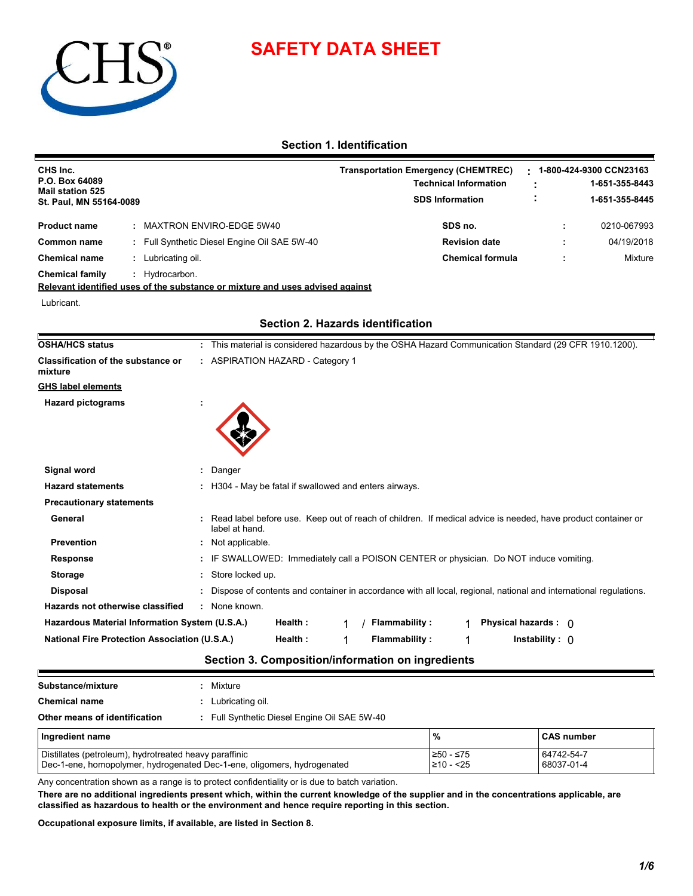

# **SAFETY DATA SHEET**

# **Section 1. Identification**

| CHS Inc.<br>P.O. Box 64089<br><b>Mail station 525</b><br>St. Paul, MN 55164-0089 |                                              | <b>Transportation Emergency (CHEMTREC)</b><br><b>Technical Information</b><br><b>SDS Information</b> |  | 1-800-424-9300 CCN23163<br>1-651-355-8443<br>1-651-355-8445 |
|----------------------------------------------------------------------------------|----------------------------------------------|------------------------------------------------------------------------------------------------------|--|-------------------------------------------------------------|
| <b>Product name</b>                                                              | : MAXTRON ENVIRO-EDGE 5W40                   | SDS no.                                                                                              |  | 0210-067993                                                 |
| Common name                                                                      | : Full Synthetic Diesel Engine Oil SAE 5W-40 | <b>Revision date</b>                                                                                 |  | 04/19/2018                                                  |
| <b>Chemical name</b>                                                             | Lubricating oil.                             | <b>Chemical formula</b>                                                                              |  | <b>Mixture</b>                                              |
| <b>Chemical family</b>                                                           | Hydrocarbon.                                 |                                                                                                      |  |                                                             |

**Relevant identified uses of the substance or mixture and uses advised against**

Lubricant.

| OSHA/HCS status                                      | : This material is considered hazardous by the OSHA Hazard Communication Standard (29 CFR 1910.1200).                          |
|------------------------------------------------------|--------------------------------------------------------------------------------------------------------------------------------|
| Classification of the substance or<br>mixture        | : ASPIRATION HAZARD - Category 1                                                                                               |
| <b>GHS label elements</b>                            |                                                                                                                                |
| <b>Hazard pictograms</b>                             |                                                                                                                                |
|                                                      |                                                                                                                                |
|                                                      |                                                                                                                                |
|                                                      |                                                                                                                                |
| Signal word                                          | Danger                                                                                                                         |
| <b>Hazard statements</b>                             | : H304 - May be fatal if swallowed and enters airways.                                                                         |
| <b>Precautionary statements</b>                      |                                                                                                                                |
| General                                              | Read label before use. Keep out of reach of children. If medical advice is needed, have product container or<br>label at hand. |
| <b>Prevention</b>                                    | : Not applicable.                                                                                                              |
| <b>Response</b>                                      | : IF SWALLOWED: Immediately call a POISON CENTER or physician. Do NOT induce vomiting.                                         |
| <b>Storage</b>                                       | : Store locked up.                                                                                                             |
| <b>Disposal</b>                                      | : Dispose of contents and container in accordance with all local, regional, national and international regulations.            |
| Hazards not otherwise classified                     | : None known.                                                                                                                  |
| Hazardous Material Information System (U.S.A.)       | Physical hazards : 0<br>Health:<br><b>Flammability:</b>                                                                        |
| <b>National Fire Protection Association (U.S.A.)</b> | Health:<br><b>Flammability:</b><br>Instability : $\bigcap$                                                                     |
|                                                      |                                                                                                                                |

# **Section 2. Hazards identification**

# **Section 3. Composition/information on ingredients**

| Substance/mixture                                      |  | Mixture                                                                 |                               |                          |  |  |  |
|--------------------------------------------------------|--|-------------------------------------------------------------------------|-------------------------------|--------------------------|--|--|--|
| <b>Chemical name</b>                                   |  | Lubricating oil.                                                        |                               |                          |  |  |  |
| Other means of identification                          |  | : Full Synthetic Diesel Engine Oil SAE 5W-40                            |                               |                          |  |  |  |
| Ingredient name                                        |  |                                                                         | %                             | <b>CAS</b> number        |  |  |  |
| Distillates (petroleum), hydrotreated heavy paraffinic |  | Dec-1-ene, homopolymer, hydrogenated Dec-1-ene, oligomers, hydrogenated | $≥50 - ≤75$<br>$\geq 10 - 25$ | 64742-54-7<br>68037-01-4 |  |  |  |

Any concentration shown as a range is to protect confidentiality or is due to batch variation.

**There are no additional ingredients present which, within the current knowledge of the supplier and in the concentrations applicable, are classified as hazardous to health or the environment and hence require reporting in this section.**

**Occupational exposure limits, if available, are listed in Section 8.**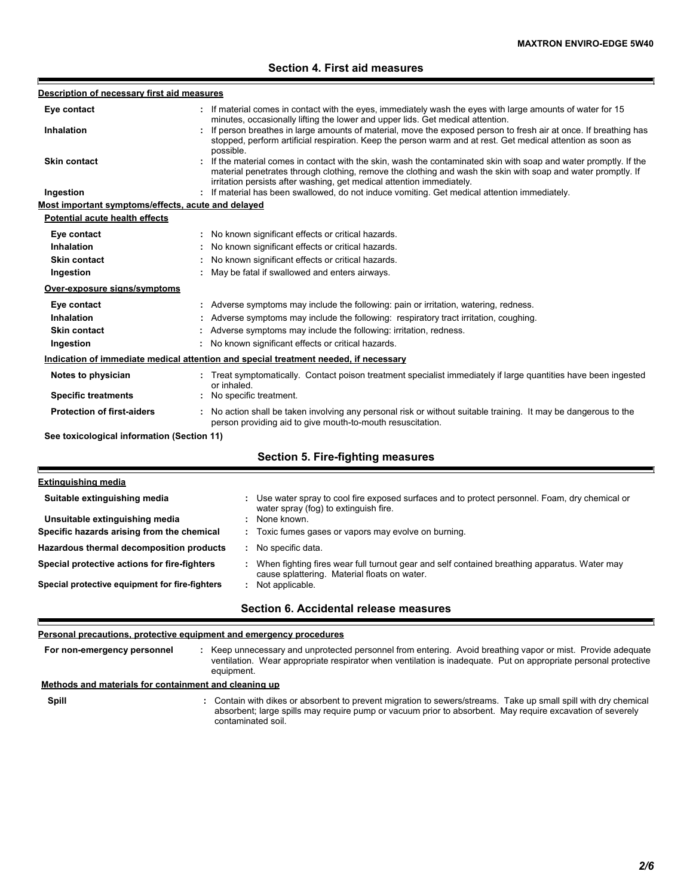# **Section 4. First aid measures**

| Description of necessary first aid measures        |                                                                                                                                                                                                                                                                                                            |
|----------------------------------------------------|------------------------------------------------------------------------------------------------------------------------------------------------------------------------------------------------------------------------------------------------------------------------------------------------------------|
| Eye contact                                        | If material comes in contact with the eyes, immediately wash the eyes with large amounts of water for 15<br>minutes, occasionally lifting the lower and upper lids. Get medical attention.                                                                                                                 |
| <b>Inhalation</b>                                  | : If person breathes in large amounts of material, move the exposed person to fresh air at once. If breathing has<br>stopped, perform artificial respiration. Keep the person warm and at rest. Get medical attention as soon as<br>possible.                                                              |
| <b>Skin contact</b>                                | : If the material comes in contact with the skin, wash the contaminated skin with soap and water promptly. If the<br>material penetrates through clothing, remove the clothing and wash the skin with soap and water promptly. If<br>irritation persists after washing, get medical attention immediately. |
| Ingestion                                          | If material has been swallowed, do not induce vomiting. Get medical attention immediately.                                                                                                                                                                                                                 |
| Most important symptoms/effects, acute and delayed |                                                                                                                                                                                                                                                                                                            |
| <b>Potential acute health effects</b>              |                                                                                                                                                                                                                                                                                                            |
| Eye contact                                        | : No known significant effects or critical hazards.                                                                                                                                                                                                                                                        |
| Inhalation                                         | No known significant effects or critical hazards.                                                                                                                                                                                                                                                          |
| Skin contact                                       | No known significant effects or critical hazards.                                                                                                                                                                                                                                                          |
| Ingestion                                          | : May be fatal if swallowed and enters airways.                                                                                                                                                                                                                                                            |
| Over-exposure signs/symptoms                       |                                                                                                                                                                                                                                                                                                            |
| Eye contact                                        | : Adverse symptoms may include the following: pain or irritation, watering, redness.                                                                                                                                                                                                                       |
| Inhalation                                         | Adverse symptoms may include the following: respiratory tract irritation, coughing.                                                                                                                                                                                                                        |
| <b>Skin contact</b>                                | : Adverse symptoms may include the following: irritation, redness.                                                                                                                                                                                                                                         |
| Ingestion                                          | : No known significant effects or critical hazards.                                                                                                                                                                                                                                                        |
|                                                    | Indication of immediate medical attention and special treatment needed, if necessary                                                                                                                                                                                                                       |
| Notes to physician                                 | : Treat symptomatically. Contact poison treatment specialist immediately if large quantities have been ingested<br>or inhaled.                                                                                                                                                                             |
| <b>Specific treatments</b>                         | : No specific treatment.                                                                                                                                                                                                                                                                                   |
| <b>Protection of first-aiders</b>                  | : No action shall be taken involving any personal risk or without suitable training. It may be dangerous to the<br>person providing aid to give mouth-to-mouth resuscitation.                                                                                                                              |
| See toxicological information (Section 11)         |                                                                                                                                                                                                                                                                                                            |
|                                                    | <b>Section 5. Fire-fighting measures</b>                                                                                                                                                                                                                                                                   |

| Suitable extinguishing media                   | : Use water spray to cool fire exposed surfaces and to protect personnel. Foam, dry chemical or<br>water spray (fog) to extinguish fire.     |
|------------------------------------------------|----------------------------------------------------------------------------------------------------------------------------------------------|
| Unsuitable extinguishing media                 | None known.                                                                                                                                  |
| Specific hazards arising from the chemical     | : Toxic fumes gases or vapors may evolve on burning.                                                                                         |
| Hazardous thermal decomposition products       | No specific data.                                                                                                                            |
| Special protective actions for fire-fighters   | When fighting fires wear full turnout gear and self contained breathing apparatus. Water may<br>cause splattering. Material floats on water. |
| Special protective equipment for fire-fighters | Not applicable.                                                                                                                              |
|                                                | Section 6. Accidental release measures                                                                                                       |

# **Personal precautions, protective equipment and emergency procedures**

F

**Spill** Contain with dikes or absorbent to prevent migration to sewers/streams. Take up small spill with dry chemical **:** Keep unnecessary and unprotected personnel from entering. Avoid breathing vapor or mist. Provide adequate ventilation. Wear appropriate respirator when ventilation is inadequate. Put on appropriate personal protective equipment. **: Methods and materials for containment and cleaning up For non-emergency personnel**

absorbent; large spills may require pump or vacuum prior to absorbent. May require excavation of severely contaminated soil.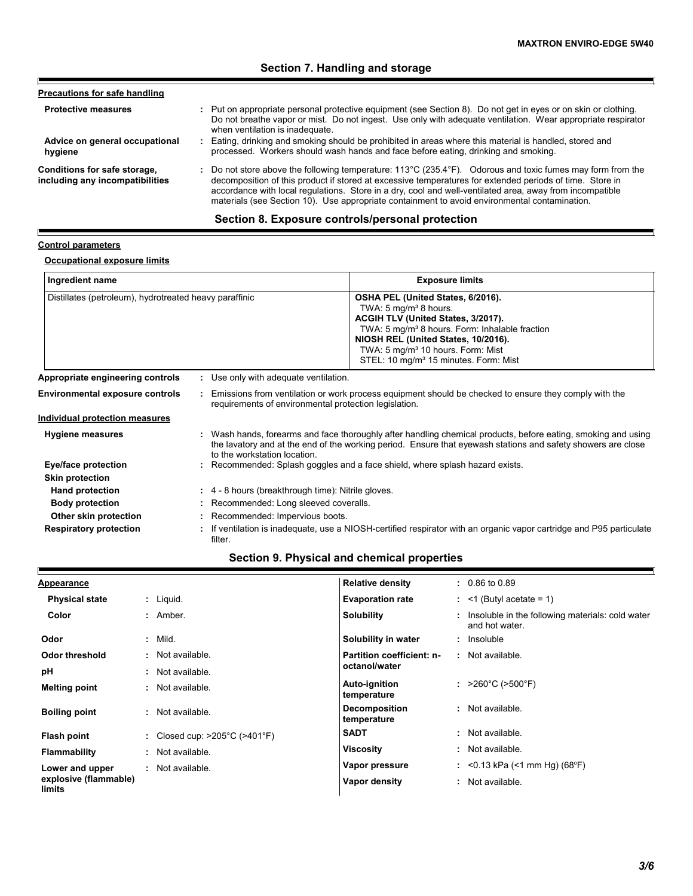# **Section 7. Handling and storage**

| <b>Precautions for safe handling</b>                            |                                                                                                                                                                                                                                                                                                                                                                                                                                                          |
|-----------------------------------------------------------------|----------------------------------------------------------------------------------------------------------------------------------------------------------------------------------------------------------------------------------------------------------------------------------------------------------------------------------------------------------------------------------------------------------------------------------------------------------|
| <b>Protective measures</b>                                      | : Put on appropriate personal protective equipment (see Section 8). Do not get in eyes or on skin or clothing.<br>Do not breathe vapor or mist. Do not ingest. Use only with adequate ventilation. Wear appropriate respirator<br>when ventilation is inadequate.                                                                                                                                                                                        |
| Advice on general occupational<br>hygiene                       | : Eating, drinking and smoking should be prohibited in areas where this material is handled, stored and<br>processed. Workers should wash hands and face before eating, drinking and smoking.                                                                                                                                                                                                                                                            |
| Conditions for safe storage,<br>including any incompatibilities | : Do not store above the following temperature: $113^{\circ}$ C (235.4 $^{\circ}$ F). Odorous and toxic fumes may form from the<br>decomposition of this product if stored at excessive temperatures for extended periods of time. Store in<br>accordance with local regulations. Store in a dry, cool and well-ventilated area, away from incompatible<br>materials (see Section 10). Use appropriate containment to avoid environmental contamination. |

# **Section 8. Exposure controls/personal protection**

### **Control parameters**

Ï

 $\blacksquare$ 

# **Occupational exposure limits**

| Ingredient name                                                                                 |  |                                                                                                                                                                                                                                                               | <b>Exposure limits</b>                                                                                                                                                                                                                                                                                                  |  |  |
|-------------------------------------------------------------------------------------------------|--|---------------------------------------------------------------------------------------------------------------------------------------------------------------------------------------------------------------------------------------------------------------|-------------------------------------------------------------------------------------------------------------------------------------------------------------------------------------------------------------------------------------------------------------------------------------------------------------------------|--|--|
| Distillates (petroleum), hydrotreated heavy paraffinic                                          |  |                                                                                                                                                                                                                                                               | OSHA PEL (United States, 6/2016).<br>TWA: 5 mg/m <sup>3</sup> 8 hours.<br>ACGIH TLV (United States, 3/2017).<br>TWA: 5 mg/m <sup>3</sup> 8 hours. Form: Inhalable fraction<br>NIOSH REL (United States, 10/2016).<br>TWA: 5 mg/m <sup>3</sup> 10 hours. Form: Mist<br>STEL: 10 mg/m <sup>3</sup> 15 minutes. Form: Mist |  |  |
| Appropriate engineering controls<br>: Use only with adequate ventilation.                       |  |                                                                                                                                                                                                                                                               |                                                                                                                                                                                                                                                                                                                         |  |  |
| <b>Environmental exposure controls</b><br>requirements of environmental protection legislation. |  |                                                                                                                                                                                                                                                               | Emissions from ventilation or work process equipment should be checked to ensure they comply with the                                                                                                                                                                                                                   |  |  |
| <b>Individual protection measures</b>                                                           |  |                                                                                                                                                                                                                                                               |                                                                                                                                                                                                                                                                                                                         |  |  |
| <b>Hygiene measures</b>                                                                         |  | : Wash hands, forearms and face thoroughly after handling chemical products, before eating, smoking and using<br>the lavatory and at the end of the working period. Ensure that eyewash stations and safety showers are close<br>to the workstation location. |                                                                                                                                                                                                                                                                                                                         |  |  |
| Eye/face protection                                                                             |  |                                                                                                                                                                                                                                                               | : Recommended: Splash goggles and a face shield, where splash hazard exists.                                                                                                                                                                                                                                            |  |  |
| <b>Skin protection</b>                                                                          |  |                                                                                                                                                                                                                                                               |                                                                                                                                                                                                                                                                                                                         |  |  |
| <b>Hand protection</b>                                                                          |  | $\div$ 4 - 8 hours (breakthrough time): Nitrile gloves.                                                                                                                                                                                                       |                                                                                                                                                                                                                                                                                                                         |  |  |
| <b>Body protection</b>                                                                          |  | : Recommended: Long sleeved coveralls.                                                                                                                                                                                                                        |                                                                                                                                                                                                                                                                                                                         |  |  |
| Other skin protection                                                                           |  | : Recommended: Impervious boots.                                                                                                                                                                                                                              |                                                                                                                                                                                                                                                                                                                         |  |  |
| <b>Respiratory protection</b>                                                                   |  | If ventilation is inadequate, use a NIOSH-certified respirator with an organic vapor cartridge and P95 particulate<br>filter.                                                                                                                                 |                                                                                                                                                                                                                                                                                                                         |  |  |

# **Section 9. Physical and chemical properties**

| <b>Appearance</b>               |                                                    | <b>Relative density</b>             | $: 0.86$ to 0.89                                                     |
|---------------------------------|----------------------------------------------------|-------------------------------------|----------------------------------------------------------------------|
| <b>Physical state</b>           | $:$ Liquid.                                        | <b>Evaporation rate</b>             | $:$ <1 (Butyl acetate = 1)                                           |
| Color                           | : Amber.                                           | <b>Solubility</b>                   | : Insoluble in the following materials: cold water<br>and hot water. |
| Odor                            | $:$ Mild.                                          | Solubility in water                 | : Insoluble                                                          |
| Odor threshold                  | : Not available.                                   | Partition coefficient: n-           | : Not available.                                                     |
| рH                              | Not available.<br>÷.                               | octanol/water                       |                                                                      |
| <b>Melting point</b>            | : Not available.                                   | Auto-ignition<br>temperature        | : $>260^{\circ}$ C ( $>500^{\circ}$ F)                               |
| <b>Boiling point</b>            | : Not available.                                   | <b>Decomposition</b><br>temperature | : Not available.                                                     |
| Flash point                     | : Closed cup: $>205^{\circ}$ C ( $>401^{\circ}$ F) | <b>SADT</b>                         | : Not available.                                                     |
| <b>Flammability</b>             | : Not available.                                   | <b>Viscosity</b>                    | : Not available.                                                     |
| Lower and upper                 | Not available.<br>÷.                               | Vapor pressure                      | : < 0.13 kPa (< 1 mm Hg) (68°F)                                      |
| explosive (flammable)<br>limits |                                                    | Vapor density                       | : Not available.                                                     |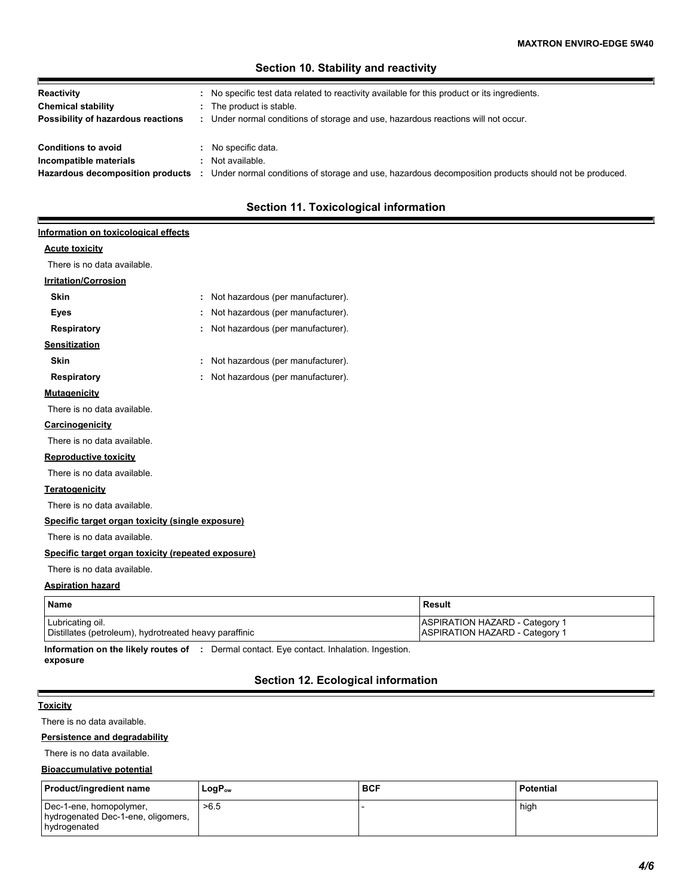# **Section 10. Stability and reactivity**

| Reactivity                         | No specific test data related to reactivity available for this product or its ingredients.           |
|------------------------------------|------------------------------------------------------------------------------------------------------|
| <b>Chemical stability</b>          | The product is stable.                                                                               |
| Possibility of hazardous reactions | Under normal conditions of storage and use, hazardous reactions will not occur.                      |
|                                    |                                                                                                      |
| <b>Conditions to avoid</b>         | No specific data.                                                                                    |
| Incompatible materials             | Not available.                                                                                       |
| Hazardous decomposition products   | Under normal conditions of storage and use, hazardous decomposition products should not be produced. |

# **Section 11. Toxicological information**

# **Information on toxicological effects**

### **Acute toxicity**

Р

There is no data available.

# **Irritation/Corrosion**

| <b>Skin</b>                                        | ÷ | Not hazardous (per manufacturer). |
|----------------------------------------------------|---|-----------------------------------|
| Eyes                                               | ÷ | Not hazardous (per manufacturer). |
| <b>Respiratory</b>                                 | ÷ | Not hazardous (per manufacturer). |
| <b>Sensitization</b>                               |   |                                   |
| Skin                                               | ÷ | Not hazardous (per manufacturer). |
| Respiratory                                        | ÷ | Not hazardous (per manufacturer). |
| <b>Mutagenicity</b>                                |   |                                   |
| There is no data available.                        |   |                                   |
| <b>Carcinogenicity</b>                             |   |                                   |
| There is no data available.                        |   |                                   |
| <b>Reproductive toxicity</b>                       |   |                                   |
| There is no data available.                        |   |                                   |
| <b>Teratogenicity</b>                              |   |                                   |
| There is no data available.                        |   |                                   |
| Specific target organ toxicity (single exposure)   |   |                                   |
| There is no data available.                        |   |                                   |
| Specific target organ toxicity (repeated exposure) |   |                                   |
| There is no data available.                        |   |                                   |
| .                                                  |   |                                   |

#### **Aspiration hazard**

| <b>Name</b>                                            | Result                                |
|--------------------------------------------------------|---------------------------------------|
| Lubricating oil.                                       | <b>ASPIRATION HAZARD - Category 1</b> |
| Distillates (petroleum), hydrotreated heavy paraffinic | ASPIRATION HAZARD - Category 1        |

**Information on the likely routes of :** Dermal contact. Eye contact. Inhalation. Ingestion. **exposure**

# **Section 12. Ecological information**

#### **Toxicity**

E

There is no data available.

#### **Persistence and degradability**

There is no data available.

#### **Bioaccumulative potential**

| <b>Product/ingredient name</b>                                                | $LogP_{ow}$ | <b>BCF</b> | Potential |
|-------------------------------------------------------------------------------|-------------|------------|-----------|
| Dec-1-ene, homopolymer,<br>hydrogenated Dec-1-ene, oligomers,<br>hydrogenated | >6.5        |            | high      |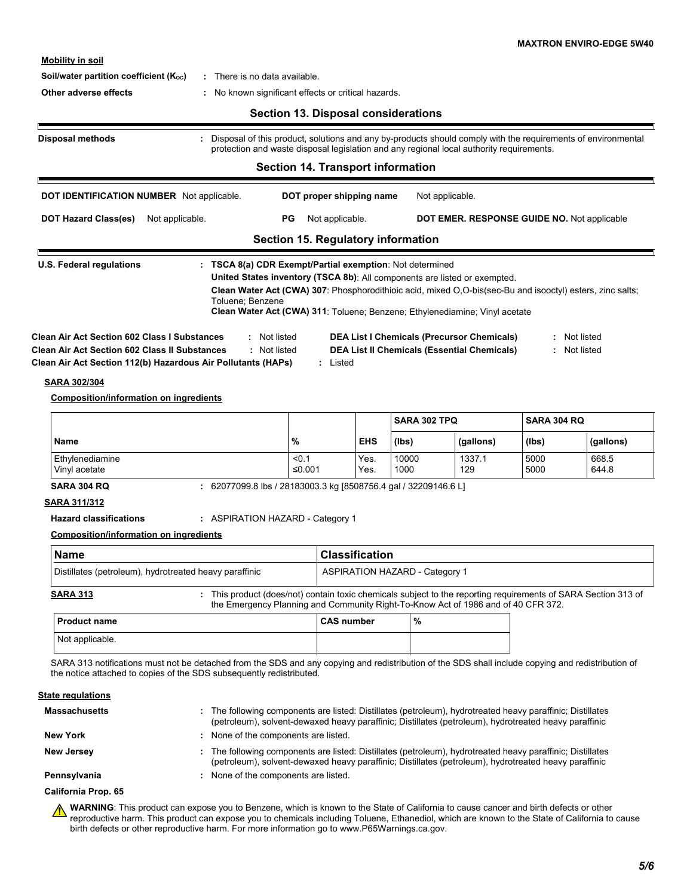**Mobility in soil**

#### **Soil/water partition coefficient (K<sub>oc</sub>) :** There is no data available.

**Other adverse effects :** No known significant effects or critical hazards.

# **Section 13. Disposal considerations**

|                                                                                                                                                                                                                                              |                  | <b>Section 14. Transport information</b>  |            |              | protection and waste disposal legislation and any regional local authority requirements.                                                                                               |                    |                              |
|----------------------------------------------------------------------------------------------------------------------------------------------------------------------------------------------------------------------------------------------|------------------|-------------------------------------------|------------|--------------|----------------------------------------------------------------------------------------------------------------------------------------------------------------------------------------|--------------------|------------------------------|
| <b>DOT IDENTIFICATION NUMBER</b> Not applicable.                                                                                                                                                                                             |                  | DOT proper shipping name                  |            |              | Not applicable.                                                                                                                                                                        |                    |                              |
| <b>DOT Hazard Class(es)</b><br>Not applicable.                                                                                                                                                                                               |                  | Not applicable.<br>PG                     |            |              | DOT EMER. RESPONSE GUIDE NO. Not applicable                                                                                                                                            |                    |                              |
|                                                                                                                                                                                                                                              |                  | <b>Section 15. Regulatory information</b> |            |              |                                                                                                                                                                                        |                    |                              |
|                                                                                                                                                                                                                                              |                  |                                           |            |              | United States inventory (TSCA 8b): All components are listed or exempted.<br>Clean Water Act (CWA) 307: Phosphorodithioic acid, mixed O,O-bis(sec-Bu and isooctyl) esters, zinc salts; |                    |                              |
| <b>Clean Air Act Section 602 Class I Substances</b><br><b>Clean Air Act Section 602 Class II Substances</b><br>Clean Air Act Section 112(b) Hazardous Air Pollutants (HAPs)<br>SARA 302/304<br><b>Composition/information on ingredients</b> | Toluene: Benzene | : Not listed<br>: Not listed<br>: Listed  |            |              | Clean Water Act (CWA) 311: Toluene; Benzene; Ethylenediamine; Vinyl acetate<br><b>DEA List I Chemicals (Precursor Chemicals)</b><br><b>DEA List II Chemicals (Essential Chemicals)</b> |                    | : Not listed<br>: Not listed |
|                                                                                                                                                                                                                                              |                  |                                           |            | SARA 302 TPO |                                                                                                                                                                                        | <b>SARA 304 RQ</b> |                              |
| <b>Name</b>                                                                                                                                                                                                                                  |                  | %                                         | <b>EHS</b> | (lbs)        | (gallons)                                                                                                                                                                              | (Ibs)              | (gallons)                    |

**Hazard classifications :** ASPIRATION HAZARD - Category 1

#### **Composition/information on ingredients**

| Name                                                   |  | <b>Classification</b>                                                                                                                                                                             |  |  |
|--------------------------------------------------------|--|---------------------------------------------------------------------------------------------------------------------------------------------------------------------------------------------------|--|--|
| Distillates (petroleum), hydrotreated heavy paraffinic |  | <b>ASPIRATION HAZARD - Category 1</b>                                                                                                                                                             |  |  |
| <b>SARA 313</b>                                        |  | This product (does/not) contain toxic chemicals subject to the reporting requirements of SARA Section 313 of<br>the Emergency Planning and Community Right-To-Know Act of 1986 and of 40 CFR 372. |  |  |

| l Product name  | <b>CAS number</b> | $\%$ |  |
|-----------------|-------------------|------|--|
| Not applicable. |                   |      |  |

SARA 313 notifications must not be detached from the SDS and any copying and redistribution of the SDS shall include copying and redistribution of the notice attached to copies of the SDS subsequently redistributed.

#### **State regulations**

| <b>Massachusetts</b> | . The following components are listed: Distillates (petroleum), hydrotreated heavy paraffinic; Distillates<br>(petroleum), solvent-dewaxed heavy paraffinic; Distillates (petroleum), hydrotreated heavy paraffinic |
|----------------------|---------------------------------------------------------------------------------------------------------------------------------------------------------------------------------------------------------------------|
| New York             | None of the components are listed.                                                                                                                                                                                  |
| New Jersey           | : The following components are listed: Distillates (petroleum), hydrotreated heavy paraffinic; Distillates<br>(petroleum), solvent-dewaxed heavy paraffinic; Distillates (petroleum), hydrotreated heavy paraffinic |
| Pennsylvania         | None of the components are listed.                                                                                                                                                                                  |

#### **California Prop. 65**

**WARNING**: This product can expose you to Benzene, which is known to the State of California to cause cancer and birth defects or other ⚠ reproductive harm. This product can expose you to chemicals including Toluene, Ethanediol, which are known to the State of California to cause birth defects or other reproductive harm. For more information go to www.P65Warnings.ca.gov.